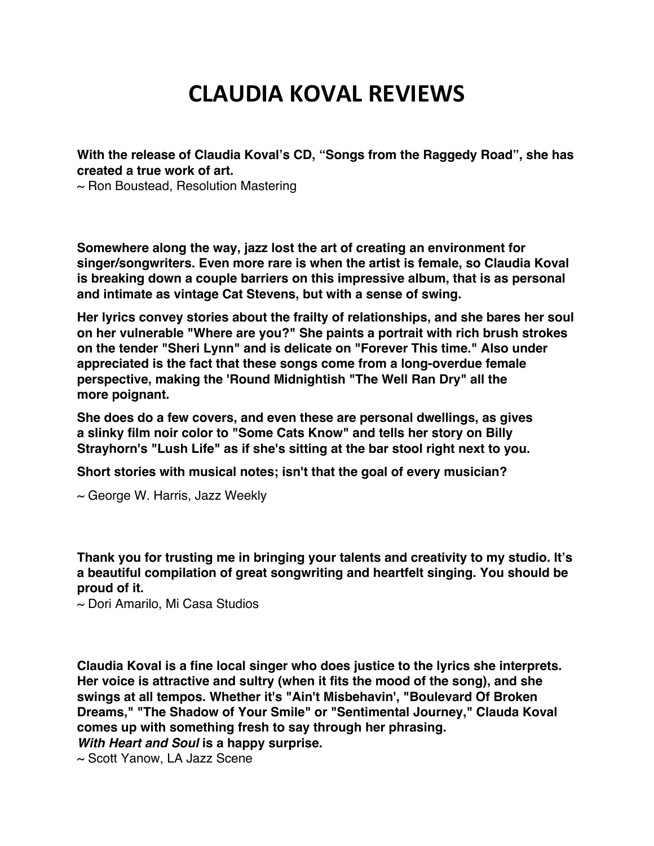## **CLAUDIA KOVAL REVIEWS**

**With the release of Claudia Koval's CD, "Songs from the Raggedy Road", she has created a true work of art.**

 $\sim$  Ron Boustead, Resolution Mastering

**Somewhere along the way, jazz lost the art of creating an environment for singer/songwriters. Even more rare is when the artist is female, so Claudia Koval is breaking down a couple barriers on this impressive album, that is as personal and intimate as vintage Cat Stevens, but with a sense of swing.**

**Her lyrics convey stories about the frailty of relationships, and she bares her soul on her vulnerable "Where are you?" She paints a portrait with rich brush strokes on the tender "Sheri Lynn" and is delicate on "Forever This time." Also under appreciated is the fact that these songs come from a long-overdue female perspective, making the 'Round Midnightish "The Well Ran Dry" all the more poignant.**

**She does do a few covers, and even these are personal dwellings, as gives a slinky film noir color to "Some Cats Know" and tells her story on Billy Strayhorn's "Lush Life" as if she's sitting at the bar stool right next to you.**

**Short stories with musical notes; isn't that the goal of every musician?**

 $\sim$  George W. Harris, Jazz Weekly

**Thank you for trusting me in bringing your talents and creativity to my studio. It's a beautiful compilation of great songwriting and heartfelt singing. You should be proud of it.**

~ Dori Amarilo, Mi Casa Studios

**Claudia Koval is a fine local singer who does justice to the lyrics she interprets. Her voice is attractive and sultry (when it fits the mood of the song), and she swings at all tempos. Whether it's "Ain't Misbehavin', "Boulevard Of Broken Dreams," "The Shadow of Your Smile" or "Sentimental Journey," Clauda Koval comes up with something fresh to say through her phrasing.**

*With Heart and Soul* **is a happy surprise.**

~ Scott Yanow, LA Jazz Scene